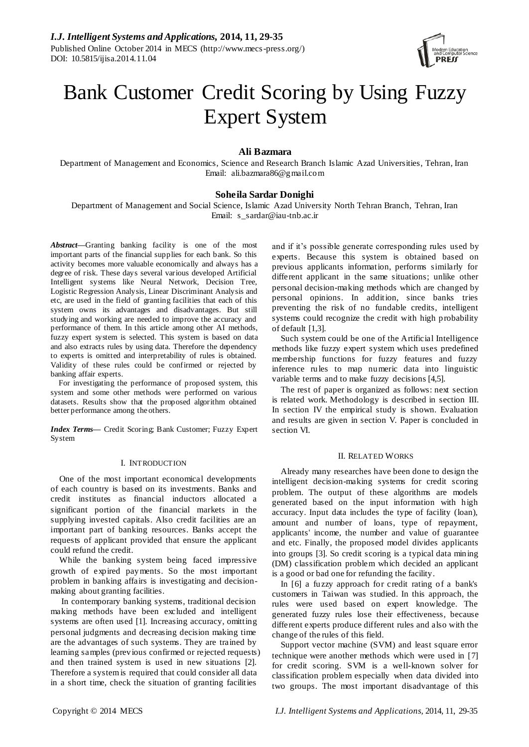

# Bank Customer Credit Scoring by Using Fuzzy Expert System

**Ali Bazmara**

Department of Management and Economics, Science and Research Branch Islamic Azad Universities, Tehran, Iran Email: ali.bazmara86@gmail.com

# **Soheila Sardar Donighi**

Department of Management and Social Science, Islamic Azad University North Tehran Branch, Tehran, Iran Email: s\_sardar@iau-tnb.ac.ir

*Abstract***—**Granting banking facility is one of the most important parts of the financial supplies for each bank. So this activity becomes more valuable economically and always has a degree of risk. These days several various developed Artificial Intelligent systems like Neural Network, Decision Tree, Logistic Regression Analysis, Linear Discriminant Analysis and etc, are used in the field of granting facilities that each of this system owns its advantages and disadvantages. But still studying and working are needed to improve the accuracy and performance of them. In this article among other AI methods, fuzzy expert system is selected. This system is based on data and also extracts rules by using data. Therefore the dependency to experts is omitted and interpretability of rules is obtained. Validity of these rules could be confirmed or rejected by banking affair experts.

For investigating the performance of proposed system, this system and some other methods were performed on various datasets. Results show that the proposed algorithm obtained better performance among the others.

*Index Terms***—** Credit Scoring; Bank Customer; Fuzzy Expert System

# I. INTRODUCTION

One of the most important economical developments of each country is based on its investments. Banks and credit institutes as financial inductors allocated a significant portion of the financial markets in the supplying invested capitals. Also credit facilities are an important part of banking resources. Banks accept the requests of applicant provided that ensure the applicant could refund the credit.

While the banking system being faced impressive growth of expired payments. So the most important problem in banking affairs is investigating and decisionmaking about granting facilities.

In contemporary banking systems, traditional decision making methods have been excluded and intelligent systems are often used [1]. Increasing accuracy, omitting personal judgments and decreasing decision making time are the advantages of such systems. They are trained by learning samples (previous confirmed or rejected requests) and then trained system is used in new situations [2]. Therefore a system is required that could consider all data in a short time, check the situation of granting facilities

and if it's possible generate corresponding rules used by experts. Because this system is obtained based on previous applicants information, performs similarly for different applicant in the same situations; unlike other personal decision-making methods which are changed by personal opinions. In addition, since banks tries preventing the risk of no fundable credits, intelligent systems could recognize the credit with high probability of default [1,3].

Such system could be one of the Artificial Intelligence methods like fuzzy expert system which uses predefined membership functions for fuzzy features and fuzzy inference rules to map numeric data into linguistic variable terms and to make fuzzy decisions [4,5].

The rest of paper is organized as follows: next section is related work. Methodology is described in section III. In section IV the empirical study is shown. Evaluation and results are given in section V. Paper is concluded in section VI.

# II. RELATED WORKS

Already many researches have been done to design the intelligent decision-making systems for credit scoring problem. The output of these algorithms are models generated based on the input information with high accuracy. Input data includes the type of facility (loan), amount and number of loans, type of repayment, applicants' income, the number and value of guarantee and etc. Finally, the proposed model divides applicants into groups [3]. So credit scoring is a typical data mining (DM) classification problem which decided an applicant is a good or bad one for refunding the facility.

In [6] a fuzzy approach for credit rating of a bank's customers in Taiwan was studied. In this approach, the rules were used based on expert knowledge. The generated fuzzy rules lose their effectiveness, because different experts produce different rules and also with the change of the rules of this field.

Support vector machine (SVM) and least square error technique were another methods which were used in [7] for credit scoring. SVM is a well-known solver for classification problem especially when data divided into two groups. The most important disadvantage of this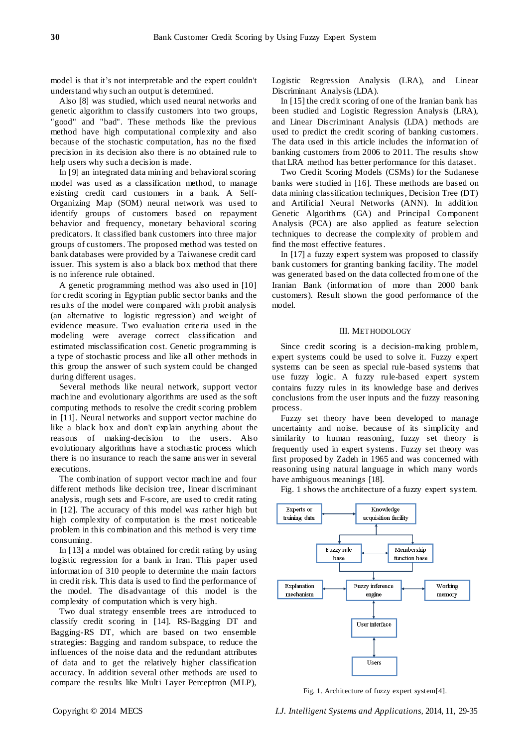model is that it's not interpretable and the expert couldn't understand why such an output is determined.

Also [8] was studied, which used neural networks and genetic algorithm to classify customers into two groups, "good" and "bad". These methods like the previous method have high computational complexity and also because of the stochastic computation, has no the fixed precision in its decision also there is no obtained rule to help users why such a decision is made.

In [9] an integrated data mining and behavioral scoring model was used as a classification method, to manage existing credit card customers in a bank. A Self-Organizing Map (SOM) neural network was used to identify groups of customers based on repayment behavior and frequency, monetary behavioral scoring predicators. It classified bank customers into three major groups of customers. The proposed method was tested on bank databases were provided by a Taiwanese credit card issuer. This system is also a black box method that there is no inference rule obtained.

A genetic programming method was also used in [10] for credit scoring in Egyptian public sector banks and the results of the model were compared with probit analysis (an alternative to logistic regression) and weight of evidence measure. Two evaluation criteria used in the modeling were average correct classification and estimated misclassification cost. Genetic programming is a type of stochastic process and like all other methods in this group the answer of such system could be changed during different usages.

Several methods like neural network, support vector machine and evolutionary algorithms are used as the soft computing methods to resolve the credit scoring problem in [11]. Neural networks and support vector machine do like a black box and don't explain anything about the reasons of making-decision to the users. Also evolutionary algorithms have a stochastic process which there is no insurance to reach the same answer in several executions.

The combination of support vector machine and four different methods like decision tree, linear discriminant analysis, rough sets and F-score, are used to credit rating in [12]. The accuracy of this model was rather high but high complexity of computation is the most noticeable problem in this combination and this method is very time consuming.

In [13] a model was obtained for credit rating by using logistic regression for a bank in Iran. This paper used information of 310 people to determine the main factors in credit risk. This data is used to find the performance of the model. The disadvantage of this model is the complexity of computation which is very high.

Two dual strategy ensemble trees are introduced to classify credit scoring in [14]. RS-Bagging DT and Bagging-RS DT, which are based on two ensemble strategies: Bagging and random subspace, to reduce the influences of the noise data and the redundant attributes of data and to get the relatively higher classification accuracy. In addition several other methods are used to compare the results like Multi Layer Perceptron (MLP),

Logistic Regression Analysis (LRA), and Linear Discriminant Analysis (LDA).

In [15] the credit scoring of one of the Iranian bank has been studied and Logistic Regression Analysis (LRA), and Linear Discriminant Analysis (LDA) methods are used to predict the credit scoring of banking customers. The data used in this article includes the information of banking customers from 2006 to 2011. The results show that LRA method has better performance for this dataset.

Two Credit Scoring Models (CSMs) for the Sudanese banks were studied in [16]. These methods are based on data mining classification techniques, Decision Tree (DT) and Artificial Neural Networks (ANN). In addition Genetic Algorithms (GA) and Principal Component Analysis (PCA) are also applied as feature selection techniques to decrease the complexity of problem and find the most effective features.

In [17] a fuzzy expert system was proposed to classify bank customers for granting banking facility. The model was generated based on the data collected from one of the Iranian Bank (information of more than 2000 bank customers). Result shown the good performance of the model.

#### III. METHODOLOGY

Since credit scoring is a decision-making problem, expert systems could be used to solve it. Fuzzy expert systems can be seen as special rule -based systems that use fuzzy logic. A fuzzy rule-based expert system contains fuzzy rules in its knowledge base and derives conclusions from the user inputs and the fuzzy reasoning process.

Fuzzy set theory have been developed to manage uncertainty and noise. because of its simplicity and similarity to human reasoning, fuzzy set theory is frequently used in expert systems. Fuzzy set theory was first proposed by Zadeh in 1965 and was concerned with reasoning using natural language in which many words have ambiguous meanings [18].

Fig. 1 shows the artchitecture of a fuzzy expert system.



Fig. 1. Architecture of fuzzy expert system[4].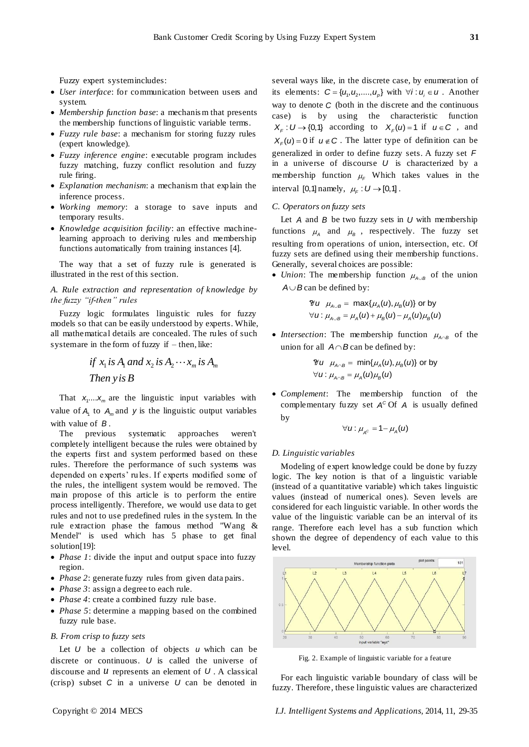Fuzzy expert systemincludes:

- *User interface*: for communication between users and system.
- *Membership function base*: a mechanis m that presents the membership functions of linguistic variable terms.
- *Fuzzy rule base*: a mechanism for storing fuzzy rules (expert knowledge).
- *Fuzzy inference engine*: executable program includes fuzzy matching, fuzzy conflict resolution and fuzzy rule firing.
- *Explanation mechanism*: a mechanism that explain the inference process.
- *Working memory*: a storage to save inputs and temporary results.
- *Knowledge acquisition facility*: an effective machinelearning approach to deriving rules and membership functions automatically from training instances [4].

The way that a set of fuzzy rule is generated is illustrated in the rest of this section.

*A. Rule extraction and representation of knowledge by the fuzzy "if-then" rules*

Fuzzy logic formulates linguistic rules for fuzzy models so that can be easily understood by experts. While, all mathematical details are concealed. The rules of such system are in the form of fuzzy if  $-$  then, like:

if 
$$
x_1
$$
 is  $A_1$  and  $x_2$  is  $A_2 \cdots x_m$  is  $A_m$   
Then  $y$  is  $B$ 

That  $x_1...x_m$  are the linguistic input variables with value of  $A_1$  to  $A_m$  and y is the linguistic output variables with value of *B* .

The previous systematic approaches weren't completely intelligent because the rules were obtained by the experts first and system performed based on these rules. Therefore the performance of such systems was depended on experts' rules. If experts modified some of the rules, the intelligent system would be removed. The main propose of this article is to perform the entire process intelligently. Therefore, we would use data to get rules and not to use predefined rules in the system. In the rule extraction phase the famous method "Wang & Mendel" is used which has 5 phase to get final solution[19]:

- *Phase 1*: divide the input and output space into fuzzy region.
- *Phase 2*: generate fuzzy rules from given data pairs.
- *Phase 3*: assign a degree to each rule.
- *Phase 4*: create a combined fuzzy rule base.
- *Phase 5*: determine a mapping based on the combined fuzzy rule base.
- *B. From crisp to fuzzy sets*

Let  $U$  be a collection of objects  $U$  which can be discrete or continuous. *U* is called the universe of discourse and  $U$  represents an element of  $U$ . A classical (crisp) subset  $C$  in a universe  $U$  can be denoted in

several ways like, in the discrete case, by enumeration of its elements:  $C = \{u_1, u_2, ..., u_p\}$  with  $\forall i : u_i \in U$ . Another way to denote *C* (both in the discrete and the continuous case) is by using the characteristic function  $X_F: U \to \{0,1\}$  according to  $X_F(u) = 1$  if  $u \in C$ , and  $X_F(u) = 0$  if  $u \notin C$ . The latter type of definition can be generalized in order to define fuzzy sets. A fuzzy set *F* in a universe of discourse *U* is characterized by a membership function  $\mu_F$  Which takes values in the interval [0,1] namely,  $\mu_F : U \rightarrow [0,1]$ .

# *C. Operators on fuzzy sets*

Let  $A$  and  $B$  be two fuzzy sets in  $U$  with membership functions  $\mu_A$  and  $\mu_B$ , respectively. The fuzzy set resulting from operations of union, intersection, etc. Of fuzzy sets are defined using their membership functions. Generally, several choices are possible:

• *Union*: The membership function  $\mu_{A \cup B}$  of the union  $A \cup B$  can be defined by:

$$
Ψu μA∪B = max{μA(u), μB(u)} or by
$$
  
∀u: μ<sub>A∪B</sub> = μ<sub>A</sub>(u) + μ<sub>B</sub>(u) – μ<sub>A</sub>(u)μ<sub>B</sub>(u)

• *Intersection*: The membership function  $\mu_{A \cap B}$  of the union for all  $A \cap B$  can be defined by:

$$
\mathcal{U}u \mu_{A \cap B} = \min\{\mu_A(u), \mu_B(u)\} \text{ or by}
$$
  

$$
\forall u: \mu_{A \cap B} = \mu_A(u)\mu_B(u)
$$

 *Complement*: The membership function of the complementary fuzzy set  $A^C$  Of A is usually defined by

$$
\forall u: \mu_{A^c} = 1 - \mu_A(u)
$$

#### *D. Linguistic variables*

Modeling of expert knowledge could be done by fuzzy logic. The key notion is that of a linguistic variable (instead of a quantitative variable) which takes linguistic values (instead of numerical ones). Seven levels are considered for each linguistic variable. In other words the value of the linguistic variable can be an interval of its range. Therefore each level has a sub function which shown the degree of dependency of each value to this level.



Fig. 2. Example of linguistic variable for a feature

For each linguistic variable boundary of class will be fuzzy. Therefore, these linguistic values are characterized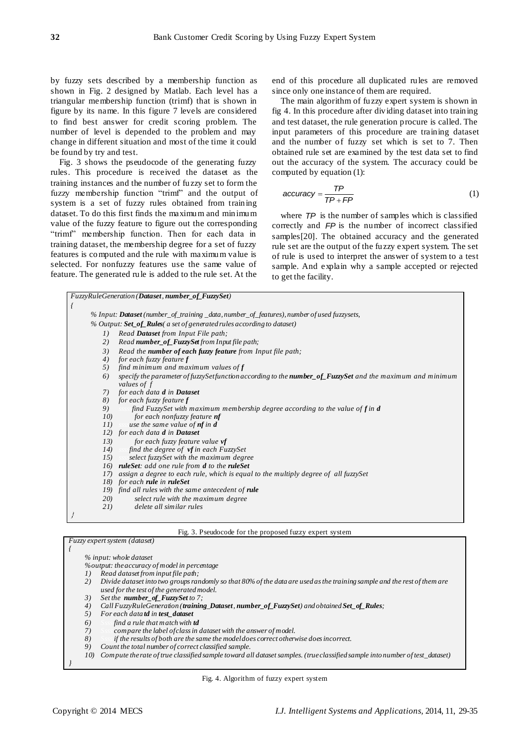by fuzzy sets described by a membership function as shown in Fig. 2 designed by Matlab. Each level has a triangular membership function (trimf) that is shown in figure by its name. In this figure 7 levels are considered to find best answer for credit scoring problem. The number of level is depended to the problem and may change in different situation and most of the time it could be found by try and test.

Fig. 3 shows the pseudocode of the generating fuzzy rules. This procedure is received the dataset as the training instances and the number of fuzzy set to form the fuzzy membership function "trimf" and the output of system is a set of fuzzy rules obtained from training dataset. To do this first finds the maximum and minimum value of the fuzzy feature to figure out the corresponding "trimf" membership function. Then for each data in training dataset, the membership degree for a set of fuzzy features is computed and the rule with maximum value is selected. For nonfuzzy features use the same value of feature. The generated rule is added to the rule set. At the

end of this procedure all duplicated rules are removed since only one instance of them are required.

The main algorithm of fuzzy expert system is shown in fig 4. In this procedure after dividing dataset into training and test dataset, the rule generation procure is called. The input parameters of this procedure are training dataset and the number of fuzzy set which is set to 7. Then obtained rule set are examined by the test data set to find out the accuracy of the system. The accuracy could be computed by equation (1):

$$
accuracy = \frac{TP}{TP + FP}
$$
 (1)

where *TP* is the number of samples which is classified correctly and *FP* is the number of incorrect classified samples[20]. The obtained accuracy and the generated rule set are the output of the fuzzy expert system. The set of rule is used to interpret the answer of system to a test sample. And explain why a sample accepted or rejected to get the facility.

| FuzzyRuleGeneration (Dataset, number_of_FuzzySet) |                                                                                                              |  |  |  |  |  |
|---------------------------------------------------|--------------------------------------------------------------------------------------------------------------|--|--|--|--|--|
|                                                   |                                                                                                              |  |  |  |  |  |
|                                                   | % Input: Dataset (number_of_training _data, number_of_features), number of used fuzzysets,                   |  |  |  |  |  |
|                                                   | % Output: Set_of_Rules( a set of generated rules according to dataset)                                       |  |  |  |  |  |
| $I$ )                                             | Read <b>Dataset</b> from Input File path;                                                                    |  |  |  |  |  |
| 2)                                                | Read number_of_FuzzySet from Input file path;                                                                |  |  |  |  |  |
| 3)                                                | Read the <b>number of each fuzzy feature</b> from Input file path;                                           |  |  |  |  |  |
| 4)                                                | for each fuzzy feature f                                                                                     |  |  |  |  |  |
| 5)                                                | find minimum and maximum values of $f$                                                                       |  |  |  |  |  |
| 6)                                                | specify the parameter of fuzzy Set function according to the number_of_Fuzzy Set and the maximum and minimum |  |  |  |  |  |
|                                                   | values of f                                                                                                  |  |  |  |  |  |
| 7)                                                | for each data d in <b>Dataset</b>                                                                            |  |  |  |  |  |
|                                                   | 8) for each fuzzy feature $f$                                                                                |  |  |  |  |  |
| 9)                                                | find FuzzySet with maximum membership degree according to the value of $f$ in $d$<br>$-$ S.S.S.              |  |  |  |  |  |
| 10)<br>11)                                        | for each nonfuzzy feature <b>nf</b><br>use the same value of <b>nf</b> in <b>d</b>                           |  |  |  |  |  |
|                                                   | 12) for each data <b>d</b> in <b>Dataset</b>                                                                 |  |  |  |  |  |
| 13)                                               | for each fuzzy feature value vf                                                                              |  |  |  |  |  |
| 14)                                               | $\Box$ find the degree of $vf$ in each FuzzySet                                                              |  |  |  |  |  |
| 15)                                               | select fuzzySet with the maximum degree                                                                      |  |  |  |  |  |
|                                                   | 16) <b>ruleSet</b> : add one rule from <b>d</b> to the <b>ruleSet</b>                                        |  |  |  |  |  |
| 17)                                               | assign a degree to each rule, which is equal to the multiply degree of all fuzzySet                          |  |  |  |  |  |
|                                                   | 18) for each rule in ruleSet                                                                                 |  |  |  |  |  |
|                                                   | 19) find all rules with the same antecedent of rule                                                          |  |  |  |  |  |
| 20)                                               | select rule with the maximum degree                                                                          |  |  |  |  |  |
| 21)                                               | delete all similar rules                                                                                     |  |  |  |  |  |
|                                                   |                                                                                                              |  |  |  |  |  |
|                                                   |                                                                                                              |  |  |  |  |  |

|  | Fig. 3. Pseudocode for the proposed fuzzy expert system |  |  |  |  |
|--|---------------------------------------------------------|--|--|--|--|
|  |                                                         |  |  |  |  |

|     | % input: whole dataset                                                                                                                                                |
|-----|-----------------------------------------------------------------------------------------------------------------------------------------------------------------------|
|     | <i>%output: the accuracy of model in percentage</i>                                                                                                                   |
| 1)  | Read dataset from input file path;                                                                                                                                    |
| 2)  | Divide dataset into two groups randomly so that 80% of the data are used as the training sample and the rest of them are<br>used for the test of the generated model. |
| 3)  | Set the <b>number_of_FuzzySet</b> to 7;                                                                                                                               |
| 4)  | Call FuzzyRuleGeneration (training Dataset, number of FuzzySet) and obtained Set of Rules;                                                                            |
| 5)  | For each datatd in test dataset                                                                                                                                       |
| 6)  | find a rule that match with <b>td</b>                                                                                                                                 |
| 7)  | compare the label of class in dataset with the answer of model.                                                                                                       |
| 8)  | if the results of both are the same the modeldoes correct otherwise does incorrect.                                                                                   |
| 9)  | Count the total number of correct classified sample.                                                                                                                  |
| 10) | Compute the rate of true classified sample toward all dataset samples. (true classified sample into number of test_dataset)                                           |

Fig. 4. Algorithm of fuzzy expert system

*}*

*Fuzzy expert system (dataset)*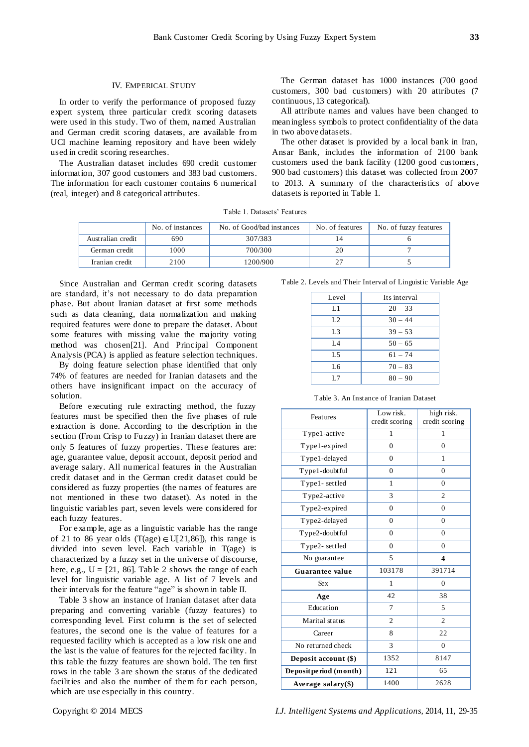# IV. EMPERICAL STUDY

In order to verify the performance of proposed fuzzy expert system, three particular credit scoring datasets were used in this study. Two of them, named Australian and German credit scoring datasets, are available from UCI machine learning repository and have been widely used in credit scoring researches.

The Australian dataset includes 690 credit customer information, 307 good customers and 383 bad customers. The information for each customer contains 6 numerical (real, integer) and 8 categorical attributes.

The German dataset has 1000 instances (700 good customers, 300 bad customers) with 20 attributes (7 continuous, 13 categorical).

All attribute names and values have been changed to meaningless symbols to protect confidentiality of the data in two above datasets.

The other dataset is provided by a local bank in Iran, Ansar Bank, includes the information of 2100 bank customers used the bank facility (1200 good customers, 900 bad customers) this dataset was collected from 2007 to 2013. A summary of the characteristics of above datasets is reported in Table 1.

Table 1. Datasets' Features

|                   | No. of instances | No. of Good/bad instances | No. of features | No. of fuzzy features |
|-------------------|------------------|---------------------------|-----------------|-----------------------|
| Australian credit | 690              | 307/383                   |                 |                       |
| German credit     | 000              | 700/300                   |                 |                       |
| Iranian credit    | 2100             | 1200/900                  |                 |                       |

Since Australian and German credit scoring datasets are standard, it's not necessary to do data preparation phase. But about Iranian dataset at first some methods such as data cleaning, data normalization and making required features were done to prepare the dataset. About some features with missing value the majority voting method was chosen[21]. And Principal Component Analysis (PCA) is applied as feature selection techniques.

By doing feature selection phase identified that only 74% of features are needed for Iranian datasets and the others have insignificant impact on the accuracy of solution.

Before executing rule extracting method, the fuzzy features must be specified then the five phases of rule extraction is done. According to the description in the section (From Crisp to Fuzzy) in Iranian dataset there are only 5 features of fuzzy properties. These features are: age, guarantee value, deposit account, deposit period and average salary. All numerical features in the Australian credit dataset and in the German credit dataset could be considered as fuzzy properties (the names of features are not mentioned in these two dataset). As noted in the linguistic variables part, seven levels were considered for each fuzzy features.

For examp le, age as a linguistic variable has the range of 21 to 86 year olds  $(T(age) \in U[21,86])$ , this range is divided into seven level. Each variable in T(age) is characterized by a fuzzy set in the universe of discourse, here, e.g.,  $U = [21, 86]$ . Table 2 shows the range of each level for linguistic variable age. A list of 7 levels and their intervals for the feature "age" is shown in table II.

Table 3 show an instance of Iranian dataset after data preparing and converting variable (fuzzy features) to corresponding level. First column is the set of selected features, the second one is the value of features for a requested facility which is accepted as a low risk one and the last is the value of features for the rejected facility. In this table the fuzzy features are shown bold. The ten first rows in the table 3 are shown the status of the dedicated facilities and also the number of them for each person, which are use especially in this country.

Table 2. Levels and Their Interval of Linguistic Variable Age

| Level          | Its interval |  |
|----------------|--------------|--|
| L1             | $20 - 33$    |  |
| L <sub>2</sub> | $30 - 44$    |  |
| L <sub>3</sub> | $39 - 53$    |  |
| $L_4$          | $50 - 65$    |  |
| L <sub>5</sub> | $61 - 74$    |  |
| L6             | $70 - 83$    |  |
| L7             | $80 - 90$    |  |

| Table 3. An Instance of Iranian Dataset |
|-----------------------------------------|
|-----------------------------------------|

| Features               | Low risk.<br>credit scoring | high risk.<br>credit scoring |
|------------------------|-----------------------------|------------------------------|
| Type1-active           | 1                           | 1                            |
| Type1-expired          | $\overline{0}$              | $\mathbf{0}$                 |
| Type1-delayed          | $\theta$                    | 1                            |
| Type1-doubtful         | $\Omega$                    | $\theta$                     |
| Type1-settled          | 1                           | $\mathbf{0}$                 |
| Type2-active           | 3                           | $\overline{c}$               |
| Type2-expired          | $\Omega$                    | $\Omega$                     |
| Type2-delayed          | $\overline{0}$              | $\mathbf{0}$                 |
| Type2-doubtful         | $\overline{0}$              | $\theta$                     |
| Type2-settled          | $\theta$                    | $\theta$                     |
| No guarantee           | 5                           | $\overline{\mathbf{4}}$      |
| Guarantee value        | 103178                      | 391714                       |
| <b>Sex</b>             | 1                           | $\mathbf{0}$                 |
| Age                    | 42                          | 38                           |
| Education              | 7                           | 5                            |
| Marital status         | $\overline{2}$              | $\overline{2}$               |
| Career                 | 8                           | 22                           |
| No returned check      | 3                           | $\theta$                     |
| Deposit account (\$)   | 1352                        | 8147                         |
| Deposit period (month) | 121                         | 65                           |
| Average salary $(\$)$  | 1400                        | 2628                         |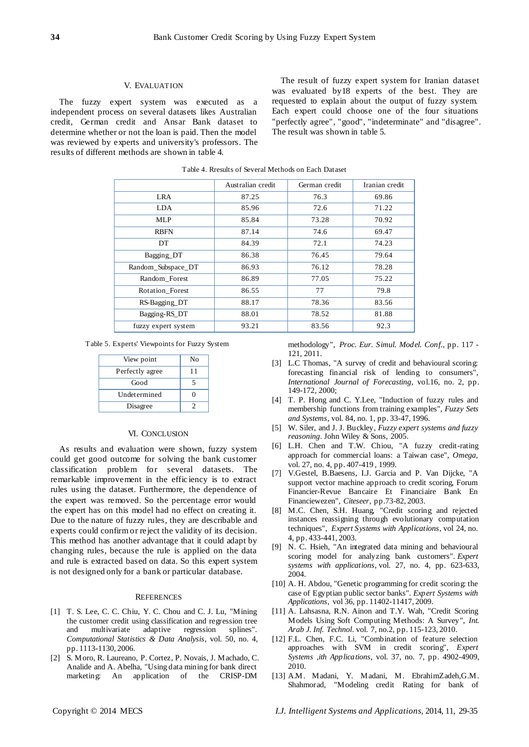## V. EVALUATION

The fuzzy expert system was executed as a independent process on several datasets likes Australian credit, German credit and Ansar Bank dataset to determine whether or not the loan is paid. Then the model was reviewed by experts and university's professors. The results of different methods are shown in table 4.

The result of fuzzy expert system for Iranian dataset was evaluated by18 experts of the best. They are requested to explain about the output of fuzzy system. Each expert could choose one of the four situations "perfectly agree", "good", "indeterminate" and "disagree". The result was shown in table 5.

|                     | Australian credit | German credit | Iranian credit |
|---------------------|-------------------|---------------|----------------|
| <b>LRA</b>          | 87.25             | 76.3          | 69.86          |
| <b>LDA</b>          | 85.96             | 72.6          | 71.22          |
| <b>MLP</b>          | 85.84             | 73.28         | 70.92          |
| <b>RBFN</b>         | 87.14             | 74.6          | 69.47          |
| DT                  | 84.39             | 72.1          | 74.23          |
| Bagging DT          | 86.38             | 76.45         | 79.64          |
| Random_Subspace_DT  | 86.93             | 76.12         | 78.28          |
| Random Forest       | 86.89             | 77.05         | 75.22          |
| Rotation_Forest     | 86.55             | 77            | 79.8           |
| RS-Bagging_DT       | 88.17             | 78.36         | 83.56          |
| Bagging-RS_DT       | 88.01             | 78.52         | 81.88          |
| fuzzy expert system | 93.21             | 83.56         | 92.3           |

Table 4. Rresults of Several Methods on Each Dataset

Table 5. Experts' Viewpoints for Fuzzy System

| View point      | No |
|-----------------|----|
| Perfectly agree | 11 |
| Good            |    |
| Undetermined    |    |
| Disagree        |    |

## VI. CONCLUSION

As results and evaluation were shown, fuzzy system could get good outcome for solving the bank customer classification problem for several datasets. The remarkable improvement in the effic iency is to extract rules using the dataset. Furthermore, the dependence of the expert was removed. So the percentage error would the expert has on this model had no effect on creating it. Due to the nature of fuzzy rules, they are describable and experts could confirm or reject the validity of its decision. This method has another advantage that it could adapt by changing rules, because the rule is applied on the data and rule is extracted based on data. So this expert system is not designed only for a bank or particular database.

## **REFERENCES**

- [1] T. S. Lee, C. C. Chiu, Y. C. Chou and C. J. Lu, "Mining the customer credit using classification and regression tree and multivariate adaptive regression splines". *Computational Statistics & Data Analysis*, vol. 50, no. 4, pp. 1113-1130, 2006.
- [2] S. Moro, R. Laureano, P. Cortez, P. Novais, J. Machado, C. Analide and A. Abelha, "Using data mining for bank direct marketing: An application of the CRISP-DM

methodology", *Proc. Eur. Simul. Model. Conf*., pp. 117 - 121, 2011.

- [3] L.C Thomas, "A survey of credit and behavioural scoring: forecasting financial risk of lending to consumers", *International Journal of Forecasting*, vol.16, no. 2, pp. 149-172, 2000;
- [4] T. P. Hong and C. Y.Lee, "Induction of fuzzy rules and membership functions from training examples", *Fuzzy Sets and Systems*, vol. 84, no. 1, pp. 33-47, 1996.
- [5] W. Siler, and J. J. Buckley, *Fuzzy expert systems and fuzzy reasoning*. John Wiley & Sons, 2005.
- [6] L.H. Chen and T.W. Chiou, "A fuzzy credit-rating approach for commercial loans: a Taiwan case", *Omega*, vol. 27, no. 4, pp. 407-419 , 1999.
- [7] V.Gestel, B.Baesens, I.J. Garcia and P. Van Dijcke, "A support vector machine approach to credit scoring, Forum Financier-Revue Bancaire Et Financiaire Bank En Financiewezen", *Citeseer*, pp.73-82, 2003.
- [8] M.C. Chen, S.H. Huang, "Credit scoring and rejected instances reassigning through evolutionary computation techniques", *Expert Systems with Applications*, vol 24, no. 4, pp. 433-441, 2003.
- [9] N. C. Hsieh, "An integrated data mining and behavioural scoring model for analyzing bank customers". *Expert systems with applications*, vol. 27, no. 4, pp. 623-633, 2004.
- [10] A. H. Abdou, "Genetic programming for credit scoring: the case of Egyptian public sector banks". *Expert Systems with Applications*, vol 36, pp. 11402-11417, 2009.
- [11] A. Lahsasna, R.N. Ainon and T.Y. Wah, "Credit Scoring Models Using Soft Computing Methods: A Survey", *Int. Arab J. Inf. Technol*. vol. 7, no.2, pp. 115-123, 2010.
- [12] F.L. Chen, F.C. Li, "Combination of feature selection approaches with SVM in credit scoring", *Expert Systems ,ith Applications,* vol. 37, no. 7, pp. 4902-4909, 2010.
- [13] A.M. Madani, Y. Madani, M. EbrahimZadeh,G.M. Shahmorad, "Modeling credit Rating for bank of